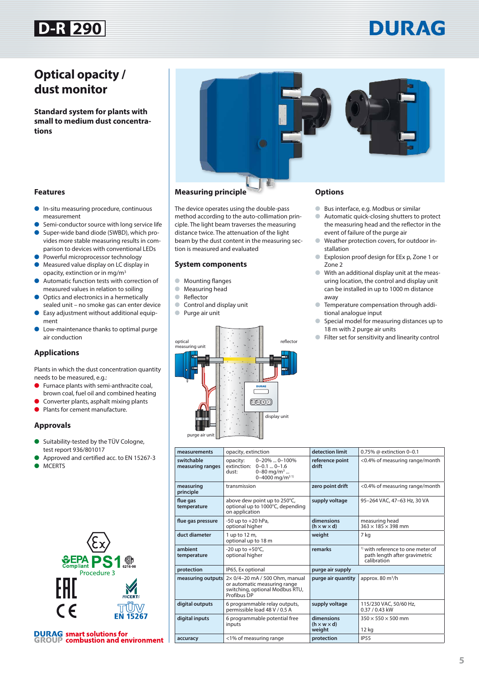## **D-R 290**

# DURAG

### **Optical opacity / dust monitor**

**Standard system for plants with small to medium dust concentrations**



### **Features**

- In-situ measuring procedure, continuous measurement
- Semi-conductor source with long service life
- Super-wide band diode (SWBD), which provides more stable measuring results in comparison to devices with conventional LEDs
- Powerful microprocessor technology
- Measured value display on LC display in opacity, extinction or in mg/m3
- Automatic function tests with correction of measured values in relation to soiling
- Optics and electronics in a hermetically sealed unit – no smoke gas can enter device
- Easy adjustment without additional equipment
- Low-maintenance thanks to optimal purge air conduction

### **Applications**

Plants in which the dust concentration quantity needs to be measured, e.g.:

- Furnace plants with semi-anthracite coal, brown coal, fuel oil and combined heating
- Converter plants, asphalt mixing plants
- Plants for cement manufacture.

### **Approvals**

- Suitability-tested by the TÜV Cologne, test report 936/801017
- Approved and certified acc. to EN 15267-3







### **Measuring principle**

The device operates using the double-pass method according to the auto-collimation principle. The light beam traverses the measuring distance twice. The attenuation of the light beam by the dust content in the measuring section is measured and evaluated

#### **System components**

- Mounting flanges
- Measuring head
- Reflector
- Control and display unit
- Purge air unit



### **Options**

- Bus interface, e.g. Modbus or similar
- Automatic quick-closing shutters to protect the measuring head and the reflector in the event of failure of the purge air
- Weather protection covers, for outdoor installation
- Explosion proof design for EEx p, Zone 1 or Zone 2
- With an additional display unit at the measuring location, the control and display unit can be installed in up to 1000 m distance away
- Temperature compensation through additional analogue input
- Special model for measuring distances up to 18 m with 2 purge air units
- Filter set for sensitivity and linearity control

| measurements                   | opacity, extinction                                                                                                         | detection limit                                 | 0.75% @ extinction 0-0.1                                                                     |
|--------------------------------|-----------------------------------------------------------------------------------------------------------------------------|-------------------------------------------------|----------------------------------------------------------------------------------------------|
| switchable<br>measuring ranges | $0-20\%$ $0-100\%$<br>opacity:<br>extinction: 0-0.1  0-1.6<br>0-80 mg/m <sup>3</sup><br>dust:<br>0-4000 mg/m <sup>31)</sup> | reference point<br>drift                        | <0.4% of measuring range/month                                                               |
| measuring<br>principle         | transmission                                                                                                                | zero point drift                                | <0.4% of measuring range/month                                                               |
| flue gas<br>temperature        | above dew point up to 250°C,<br>optional up to 1000°C, depending<br>on application                                          | supply voltage                                  | 95-264 VAC, 47-63 Hz, 30 VA                                                                  |
| flue gas pressure              | $-50$ up to $+20$ hPa,<br>optional higher                                                                                   | dimensions<br>$(h \times w \times d)$           | measuring head<br>$363 \times 185 \times 398$ mm                                             |
| duct diameter                  | 1 up to 12 m,<br>optional up to 18 m                                                                                        | weight                                          | 7 kg                                                                                         |
| ambient<br>temperature         | -20 up to $+50^{\circ}$ C,<br>optional higher                                                                               | remarks                                         | <sup>1)</sup> with reference to one meter of<br>path length after gravimetric<br>calibration |
| protection                     | IP65, Ex optional                                                                                                           | purge air supply                                |                                                                                              |
| measuring outputs              | 2× 0/4-20 mA / 500 Ohm, manual<br>or automatic measuring range<br>switching, optional Modbus RTU,<br>Profibus DP            | purge air quantity                              | approx. $80 \text{ m}^3/h$                                                                   |
| digital outputs                | 6 programmable relay outputs,<br>permissible load 48 V / 0.5 A                                                              | supply voltage                                  | 115/230 VAC, 50/60 Hz,<br>0.37 / 0.43 kW                                                     |
| digital inputs                 | 6 programmable potential free<br>inputs                                                                                     | dimensions<br>$(h \times w \times d)$<br>weight | $350 \times 550 \times 500$ mm<br>12 <sub>kg</sub>                                           |
| accuracy                       | <1% of measuring range                                                                                                      | protection                                      | <b>IP55</b>                                                                                  |